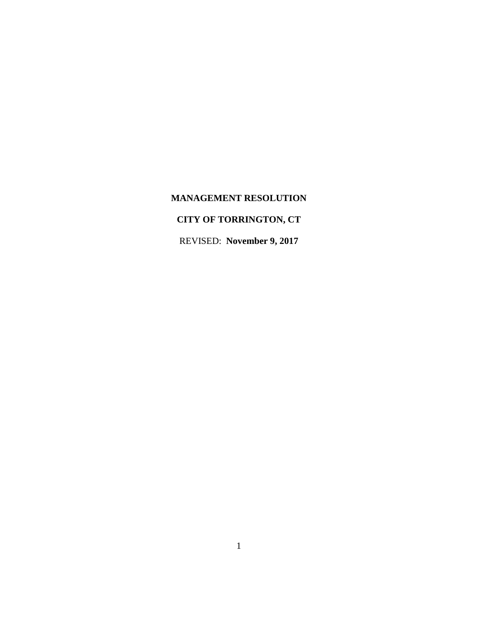# **MANAGEMENT RESOLUTION**

# **CITY OF TORRINGTON, CT**

REVISED: **November 9, 2017**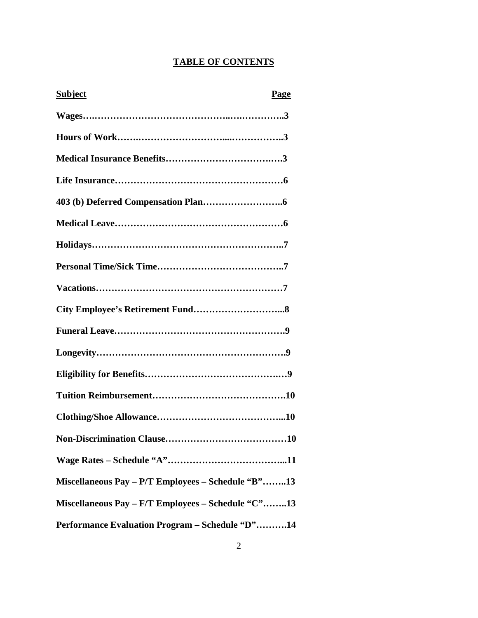# **TABLE OF CONTENTS**

| <b>Subject</b><br><b>Page</b>                      |
|----------------------------------------------------|
|                                                    |
|                                                    |
|                                                    |
|                                                    |
|                                                    |
|                                                    |
|                                                    |
|                                                    |
|                                                    |
|                                                    |
|                                                    |
|                                                    |
|                                                    |
|                                                    |
|                                                    |
|                                                    |
|                                                    |
| Miscellaneous Pay - P/T Employees - Schedule "B"13 |
| Miscellaneous Pay - F/T Employees - Schedule "C"13 |
| Performance Evaluation Program - Schedule "D"14    |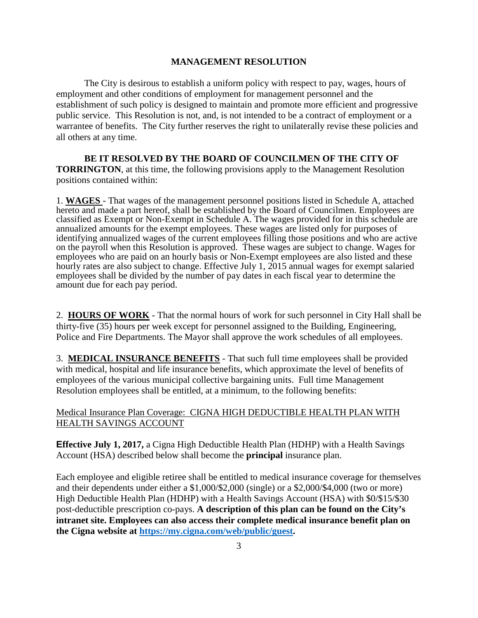#### **MANAGEMENT RESOLUTION**

The City is desirous to establish a uniform policy with respect to pay, wages, hours of employment and other conditions of employment for management personnel and the establishment of such policy is designed to maintain and promote more efficient and progressive public service. This Resolution is not, and, is not intended to be a contract of employment or a warrantee of benefits. The City further reserves the right to unilaterally revise these policies and all others at any time.

**BE IT RESOLVED BY THE BOARD OF COUNCILMEN OF THE CITY OF TORRINGTON**, at this time, the following provisions apply to the Management Resolution positions contained within:

1. **WAGES** - That wages of the management personnel positions listed in Schedule A, attached hereto and made a part hereof, shall be established by the Board of Councilmen. Employees are classified as Exempt or Non-Exempt in Schedule A. The wages provided for in this schedule are annualized amounts for the exempt employees. These wages are listed only for purposes of identifying annualized wages of the current employees filling those positions and who are active on the payroll when this Resolution is approved. These wages are subject to change. Wages for employees who are paid on an hourly basis or Non-Exempt employees are also listed and these hourly rates are also subject to change. Effective July 1, 2015 annual wages for exempt salaried employees shall be divided by the number of pay dates in each fiscal year to determine the amount due for each pay period.

2. **HOURS OF WORK** - That the normal hours of work for such personnel in City Hall shall be thirty-five (35) hours per week except for personnel assigned to the Building, Engineering, Police and Fire Departments. The Mayor shall approve the work schedules of all employees.

3. **MEDICAL INSURANCE BENEFITS** - That such full time employees shall be provided with medical, hospital and life insurance benefits, which approximate the level of benefits of employees of the various municipal collective bargaining units. Full time Management Resolution employees shall be entitled, at a minimum, to the following benefits:

#### Medical Insurance Plan Coverage: CIGNA HIGH DEDUCTIBLE HEALTH PLAN WITH HEALTH SAVINGS ACCOUNT

**Effective July 1, 2017,** a Cigna High Deductible Health Plan (HDHP) with a Health Savings Account (HSA) described below shall become the **principal** insurance plan.

Each employee and eligible retiree shall be entitled to medical insurance coverage for themselves and their dependents under either a \$1,000/\$2,000 (single) or a \$2,000/\$4,000 (two or more) High Deductible Health Plan (HDHP) with a Health Savings Account (HSA) with \$0/\$15/\$30 post-deductible prescription co-pays. **A description of this plan can be found on the City's intranet site. Employees can also access their complete medical insurance benefit plan on the Cigna website at [https://my.cigna.com/web/public/guest.](https://my.cigna.com/web/public/guest)**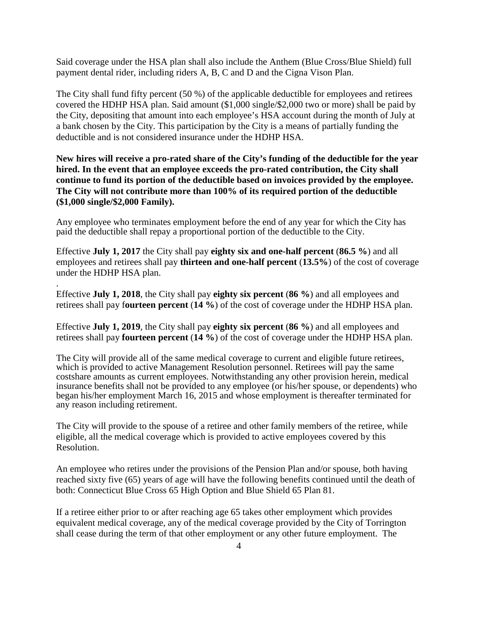Said coverage under the HSA plan shall also include the Anthem (Blue Cross/Blue Shield) full payment dental rider, including riders A, B, C and D and the Cigna Vison Plan.

The City shall fund fifty percent (50 %) of the applicable deductible for employees and retirees covered the HDHP HSA plan. Said amount (\$1,000 single/\$2,000 two or more) shall be paid by the City, depositing that amount into each employee's HSA account during the month of July at a bank chosen by the City. This participation by the City is a means of partially funding the deductible and is not considered insurance under the HDHP HSA.

**New hires will receive a pro-rated share of the City's funding of the deductible for the year hired. In the event that an employee exceeds the pro-rated contribution, the City shall continue to fund its portion of the deductible based on invoices provided by the employee. The City will not contribute more than 100% of its required portion of the deductible (\$1,000 single/\$2,000 Family).**

Any employee who terminates employment before the end of any year for which the City has paid the deductible shall repay a proportional portion of the deductible to the City.

Effective **July 1, 2017** the City shall pay **eighty six and one-half percent** (**86.5 %**) and all employees and retirees shall pay **thirteen and one-half percent** (**13.5%**) of the cost of coverage under the HDHP HSA plan.

Effective **July 1, 2018**, the City shall pay **eighty six percent** (**86 %**) and all employees and retirees shall pay f**ourteen percent** (**14 %**) of the cost of coverage under the HDHP HSA plan.

.

Effective **July 1, 2019**, the City shall pay **eighty six percent** (**86 %**) and all employees and retirees shall pay **fourteen percent** (**14 %**) of the cost of coverage under the HDHP HSA plan.

The City will provide all of the same medical coverage to current and eligible future retirees, which is provided to active Management Resolution personnel. Retirees will pay the same costshare amounts as current employees. Notwithstanding any other provision herein, medical insurance benefits shall not be provided to any employee (or his/her spouse, or dependents) who began his/her employment March 16, 2015 and whose employment is thereafter terminated for any reason including retirement.

The City will provide to the spouse of a retiree and other family members of the retiree, while eligible, all the medical coverage which is provided to active employees covered by this Resolution.

An employee who retires under the provisions of the Pension Plan and/or spouse, both having reached sixty five (65) years of age will have the following benefits continued until the death of both: Connecticut Blue Cross 65 High Option and Blue Shield 65 Plan 81.

If a retiree either prior to or after reaching age 65 takes other employment which provides equivalent medical coverage, any of the medical coverage provided by the City of Torrington shall cease during the term of that other employment or any other future employment. The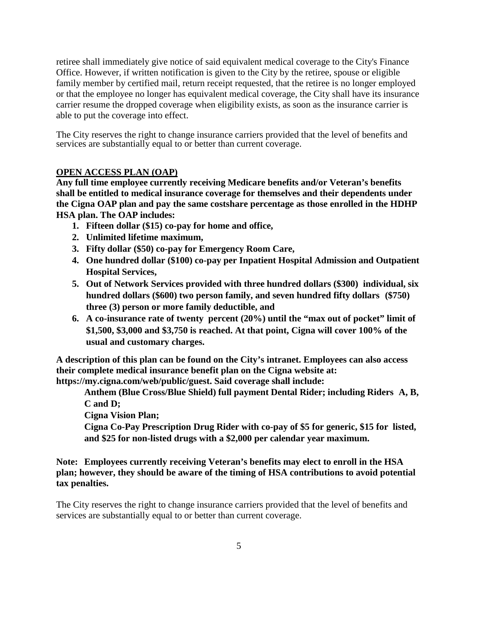retiree shall immediately give notice of said equivalent medical coverage to the City's Finance Office. However, if written notification is given to the City by the retiree, spouse or eligible family member by certified mail, return receipt requested, that the retiree is no longer employed or that the employee no longer has equivalent medical coverage, the City shall have its insurance carrier resume the dropped coverage when eligibility exists, as soon as the insurance carrier is able to put the coverage into effect.

The City reserves the right to change insurance carriers provided that the level of benefits and services are substantially equal to or better than current coverage.

#### **OPEN ACCESS PLAN (OAP)**

**Any full time employee currently receiving Medicare benefits and/or Veteran's benefits shall be entitled to medical insurance coverage for themselves and their dependents under the Cigna OAP plan and pay the same costshare percentage as those enrolled in the HDHP HSA plan. The OAP includes:**

- **1. Fifteen dollar (\$15) co-pay for home and office,**
- **2. Unlimited lifetime maximum,**
- **3. Fifty dollar (\$50) co-pay for Emergency Room Care,**
- **4. One hundred dollar (\$100) co-pay per Inpatient Hospital Admission and Outpatient Hospital Services,**
- **5. Out of Network Services provided with three hundred dollars (\$300) individual, six hundred dollars (\$600) two person family, and seven hundred fifty dollars (\$750) three (3) person or more family deductible, and**
- **6. A co-insurance rate of twenty percent (20%) until the "max out of pocket" limit of \$1,500, \$3,000 and \$3,750 is reached. At that point, Cigna will cover 100% of the usual and customary charges.**

**A description of this plan can be found on the City's intranet. Employees can also access their complete medical insurance benefit plan on the Cigna website at: https://my.cigna.com/web/public/guest. Said coverage shall include:**

**Anthem (Blue Cross/Blue Shield) full payment Dental Rider; including Riders A, B, C and D;**

**Cigna Vision Plan;**

**Cigna Co-Pay Prescription Drug Rider with co-pay of \$5 for generic, \$15 for listed, and \$25 for non-listed drugs with a \$2,000 per calendar year maximum.**

**Note: Employees currently receiving Veteran's benefits may elect to enroll in the HSA plan; however, they should be aware of the timing of HSA contributions to avoid potential tax penalties.**

The City reserves the right to change insurance carriers provided that the level of benefits and services are substantially equal to or better than current coverage.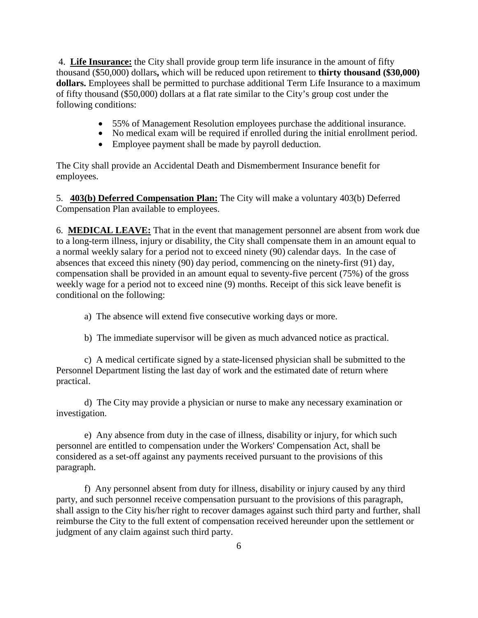4. **Life Insurance:** the City shall provide group term life insurance in the amount of fifty thousand (\$50,000) dollars**,** which will be reduced upon retirement to **thirty thousand (\$30,000) dollars.** Employees shall be permitted to purchase additional Term Life Insurance to a maximum of fifty thousand (\$50,000) dollars at a flat rate similar to the City's group cost under the following conditions:

- 55% of Management Resolution employees purchase the additional insurance.<br>• No medical exam will be required if enrolled during the initial enrollment period.
- 
- Employee payment shall be made by payroll deduction.

The City shall provide an Accidental Death and Dismemberment Insurance benefit for employees.

5. **403(b) Deferred Compensation Plan:** The City will make a voluntary 403(b) Deferred Compensation Plan available to employees.

6. **MEDICAL LEAVE:** That in the event that management personnel are absent from work due to a long-term illness, injury or disability, the City shall compensate them in an amount equal to a normal weekly salary for a period not to exceed ninety (90) calendar days. In the case of absences that exceed this ninety (90) day period, commencing on the ninety-first (91) day, compensation shall be provided in an amount equal to seventy-five percent (75%) of the gross weekly wage for a period not to exceed nine (9) months. Receipt of this sick leave benefit is conditional on the following:

a) The absence will extend five consecutive working days or more.

b) The immediate supervisor will be given as much advanced notice as practical.

c) A medical certificate signed by a state-licensed physician shall be submitted to the Personnel Department listing the last day of work and the estimated date of return where practical.

d) The City may provide a physician or nurse to make any necessary examination or investigation.

e) Any absence from duty in the case of illness, disability or injury, for which such personnel are entitled to compensation under the Workers' Compensation Act, shall be considered as a set-off against any payments received pursuant to the provisions of this paragraph.

f) Any personnel absent from duty for illness, disability or injury caused by any third party, and such personnel receive compensation pursuant to the provisions of this paragraph, shall assign to the City his/her right to recover damages against such third party and further, shall reimburse the City to the full extent of compensation received hereunder upon the settlement or judgment of any claim against such third party.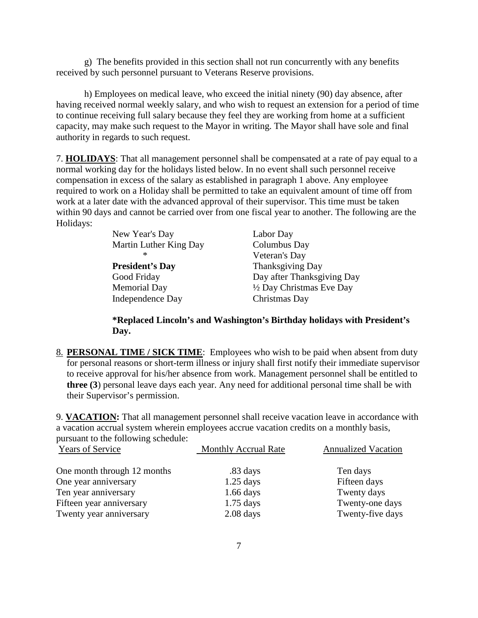g) The benefits provided in this section shall not run concurrently with any benefits received by such personnel pursuant to Veterans Reserve provisions.

h) Employees on medical leave, who exceed the initial ninety (90) day absence, after having received normal weekly salary, and who wish to request an extension for a period of time to continue receiving full salary because they feel they are working from home at a sufficient capacity, may make such request to the Mayor in writing. The Mayor shall have sole and final authority in regards to such request.

7. **HOLIDAYS**: That all management personnel shall be compensated at a rate of pay equal to a normal working day for the holidays listed below. In no event shall such personnel receive compensation in excess of the salary as established in paragraph 1 above. Any employee required to work on a Holiday shall be permitted to take an equivalent amount of time off from work at a later date with the advanced approval of their supervisor. This time must be taken within 90 days and cannot be carried over from one fiscal year to another. The following are the Holidays:

| New Year's Day         | Labor Day                  |
|------------------------|----------------------------|
| Martin Luther King Day | Columbus Day               |
| ∗                      | Veteran's Day              |
| <b>President's Day</b> | Thanksgiving Day           |
| Good Friday            | Day after Thanksgiving Day |
| <b>Memorial Day</b>    | 1/2 Day Christmas Eve Day  |
| Independence Day       | Christmas Day              |

**\*Replaced Lincoln's and Washington's Birthday holidays with President's Day.** 

8. **PERSONAL TIME / SICK TIME**: Employees who wish to be paid when absent from duty for personal reasons or short-term illness or injury shall first notify their immediate supervisor to receive approval for his/her absence from work. Management personnel shall be entitled to **three (3**) personal leave days each year. Any need for additional personal time shall be with their Supervisor's permission.

9. **VACATION:** That all management personnel shall receive vacation leave in accordance with a vacation accrual system wherein employees accrue vacation credits on a monthly basis, pursuant to the following schedule:

| <b>Years of Service</b>     | <b>Monthly Accrual Rate</b> | <b>Annualized Vacation</b> |
|-----------------------------|-----------------------------|----------------------------|
| One month through 12 months | .83 days                    | Ten days                   |
| One year anniversary        | $1.25$ days                 | Fifteen days               |
| Ten year anniversary        | $1.66$ days                 | Twenty days                |
| Fifteen year anniversary    | $1.75$ days                 | Twenty-one days            |
| Twenty year anniversary     | $2.08$ days                 | Twenty-five days           |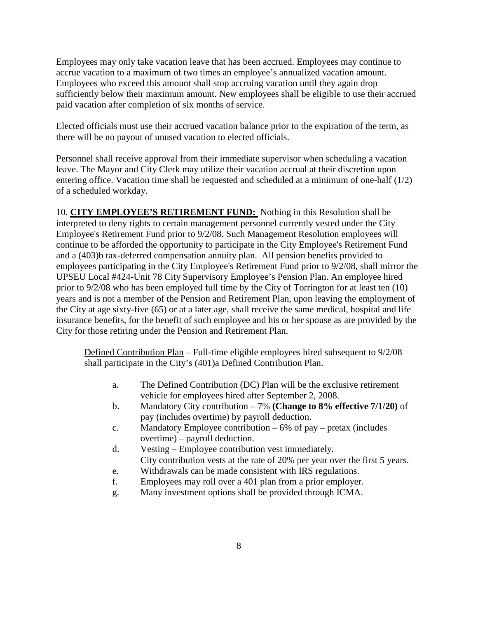Employees may only take vacation leave that has been accrued. Employees may continue to accrue vacation to a maximum of two times an employee's annualized vacation amount. Employees who exceed this amount shall stop accruing vacation until they again drop sufficiently below their maximum amount. New employees shall be eligible to use their accrued paid vacation after completion of six months of service.

Elected officials must use their accrued vacation balance prior to the expiration of the term, as there will be no payout of unused vacation to elected officials.

Personnel shall receive approval from their immediate supervisor when scheduling a vacation leave. The Mayor and City Clerk may utilize their vacation accrual at their discretion upon entering office. Vacation time shall be requested and scheduled at a minimum of one-half (1/2) of a scheduled workday.

10. **CITY EMPLOYEE'S RETIREMENT FUND:** Nothing in this Resolution shall be interpreted to deny rights to certain management personnel currently vested under the City Employee's Retirement Fund prior to 9/2/08. Such Management Resolution employees will continue to be afforded the opportunity to participate in the City Employee's Retirement Fund and a (403)b tax-deferred compensation annuity plan. All pension benefits provided to employees participating in the City Employee's Retirement Fund prior to 9/2/08, shall mirror the UPSEU Local #424-Unit 78 City Supervisory Employee's Pension Plan. An employee hired prior to 9/2/08 who has been employed full time by the City of Torrington for at least ten (10) years and is not a member of the Pension and Retirement Plan, upon leaving the employment of the City at age sixty-five (65) or at a later age, shall receive the same medical, hospital and life insurance benefits, for the benefit of such employee and his or her spouse as are provided by the City for those retiring under the Pension and Retirement Plan.

Defined Contribution Plan – Full-time eligible employees hired subsequent to 9/2/08 shall participate in the City's (401)a Defined Contribution Plan.

- a. The Defined Contribution (DC) Plan will be the exclusive retirement vehicle for employees hired after September 2, 2008.
- b. Mandatory City contribution 7% **(Change to 8% effective 7/1/20)** of pay (includes overtime) by payroll deduction.
- c. Mandatory Employee contribution 6% of pay pretax (includes overtime) – payroll deduction.
- d. Vesting Employee contribution vest immediately. City contribution vests at the rate of 20% per year over the first 5 years.
- e. Withdrawals can be made consistent with IRS regulations.
- f. Employees may roll over a 401 plan from a prior employer.
- g. Many investment options shall be provided through ICMA.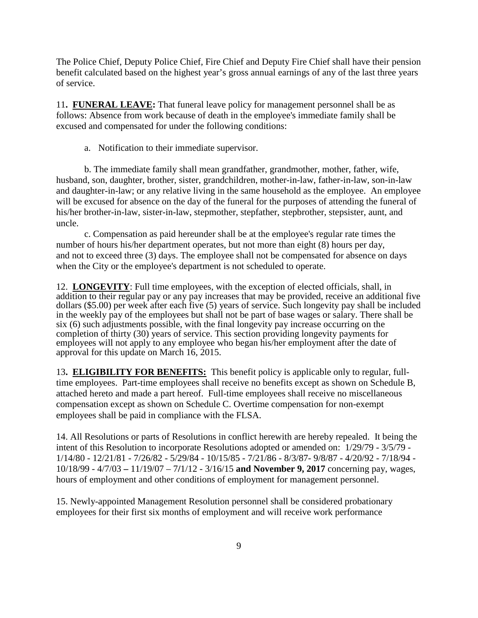The Police Chief, Deputy Police Chief, Fire Chief and Deputy Fire Chief shall have their pension benefit calculated based on the highest year's gross annual earnings of any of the last three years of service.

11**. FUNERAL LEAVE:** That funeral leave policy for management personnel shall be as follows: Absence from work because of death in the employee's immediate family shall be excused and compensated for under the following conditions:

a. Notification to their immediate supervisor.

b. The immediate family shall mean grandfather, grandmother, mother, father, wife, husband, son, daughter, brother, sister, grandchildren, mother-in-law, father-in-law, son-in-law and daughter-in-law; or any relative living in the same household as the employee. An employee will be excused for absence on the day of the funeral for the purposes of attending the funeral of his/her brother-in-law, sister-in-law, stepmother, stepfather, stepbrother, stepsister, aunt, and uncle.

c. Compensation as paid hereunder shall be at the employee's regular rate times the number of hours his/her department operates, but not more than eight (8) hours per day, and not to exceed three (3) days. The employee shall not be compensated for absence on days when the City or the employee's department is not scheduled to operate.

12. **LONGEVITY**: Full time employees, with the exception of elected officials, shall, in addition to their regular pay or any pay increases that may be provided, receive an additional five dollars (\$5.00) per week after each five (5) years of service. Such longevity pay shall be included in the weekly pay of the employees but shall not be part of base wages or salary. There shall be six (6) such adjustments possible, with the final longevity pay increase occurring on the completion of thirty (30) years of service. This section providing longevity payments for employees will not apply to any employee who began his/her employment after the date of approval for this update on March 16, 2015.

13**. ELIGIBILITY FOR BENEFITS:** This benefit policy is applicable only to regular, fulltime employees. Part-time employees shall receive no benefits except as shown on Schedule B, attached hereto and made a part hereof. Full-time employees shall receive no miscellaneous compensation except as shown on Schedule C. Overtime compensation for non-exempt employees shall be paid in compliance with the FLSA.

14. All Resolutions or parts of Resolutions in conflict herewith are hereby repealed. It being the intent of this Resolution to incorporate Resolutions adopted or amended on: 1/29/79 - 3/5/79 - 1/14/80 - 12/21/81 - 7/26/82 - 5/29/84 - 10/15/85 - 7/21/86 - 8/3/87- 9/8/87 - 4/20/92 - 7/18/94 - 10/18/99 - 4/7/03 **–** 11/19/07 – 7**/**1/12 - 3/16/15 **and November 9, 2017** concerning pay, wages, hours of employment and other conditions of employment for management personnel.

15. Newly-appointed Management Resolution personnel shall be considered probationary employees for their first six months of employment and will receive work performance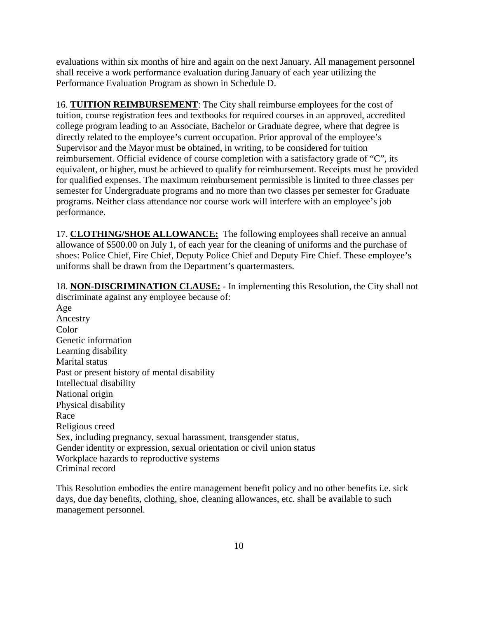evaluations within six months of hire and again on the next January. All management personnel shall receive a work performance evaluation during January of each year utilizing the Performance Evaluation Program as shown in Schedule D.

16. **TUITION REIMBURSEMENT**: The City shall reimburse employees for the cost of tuition, course registration fees and textbooks for required courses in an approved, accredited college program leading to an Associate, Bachelor or Graduate degree, where that degree is directly related to the employee's current occupation. Prior approval of the employee's Supervisor and the Mayor must be obtained, in writing, to be considered for tuition reimbursement. Official evidence of course completion with a satisfactory grade of "C", its equivalent, or higher, must be achieved to qualify for reimbursement. Receipts must be provided for qualified expenses. The maximum reimbursement permissible is limited to three classes per semester for Undergraduate programs and no more than two classes per semester for Graduate programs. Neither class attendance nor course work will interfere with an employee's job performance.

17. **CLOTHING/SHOE ALLOWANCE:** The following employees shall receive an annual allowance of \$500.00 on July 1, of each year for the cleaning of uniforms and the purchase of shoes: Police Chief, Fire Chief, Deputy Police Chief and Deputy Fire Chief. These employee's uniforms shall be drawn from the Department's quartermasters.

18. **NON-DISCRIMINATION CLAUSE:** - In implementing this Resolution, the City shall not discriminate against any employee because of:

Age Ancestry Color Genetic information Learning disability Marital status Past or present history of mental disability Intellectual disability National origin Physical disability Race Religious creed Sex, including pregnancy, sexual harassment, transgender status, Gender identity or expression, sexual orientation or civil union status Workplace hazards to reproductive systems Criminal record

This Resolution embodies the entire management benefit policy and no other benefits i.e. sick days, due day benefits, clothing, shoe, cleaning allowances, etc. shall be available to such management personnel.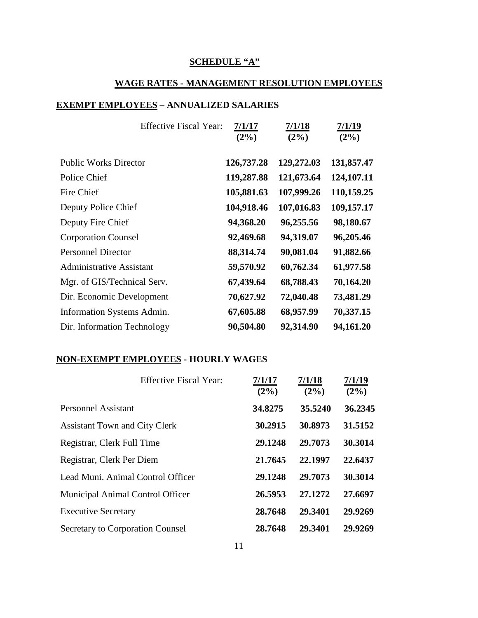### **SCHEDULE "A"**

## **WAGE RATES - MANAGEMENT RESOLUTION EMPLOYEES**

#### **EXEMPT EMPLOYEES – ANNUALIZED SALARIES**

| <b>Effective Fiscal Year:</b>   | 7/1/17<br>$(2\%)$ | 7/1/18<br>$(2\%)$ | 7/1/19<br>$(2\%)$ |
|---------------------------------|-------------------|-------------------|-------------------|
|                                 |                   |                   |                   |
| <b>Public Works Director</b>    | 126,737.28        | 129,272.03        | 131,857.47        |
| Police Chief                    | 119,287.88        | 121,673.64        | 124,107.11        |
| Fire Chief                      | 105,881.63        | 107,999.26        | 110,159.25        |
| Deputy Police Chief             | 104,918.46        | 107,016.83        | 109,157.17        |
| Deputy Fire Chief               | 94,368.20         | 96,255.56         | 98,180.67         |
| <b>Corporation Counsel</b>      | 92,469.68         | 94,319.07         | 96,205.46         |
| <b>Personnel Director</b>       | 88,314.74         | 90,081.04         | 91,882.66         |
| <b>Administrative Assistant</b> | 59,570.92         | 60,762.34         | 61,977.58         |
| Mgr. of GIS/Technical Serv.     | 67,439.64         | 68,788.43         | 70,164.20         |
| Dir. Economic Development       | 70,627.92         | 72,040.48         | 73,481.29         |
| Information Systems Admin.      | 67,605.88         | 68,957.99         | 70,337.15         |
| Dir. Information Technology     | 90,504.80         | 92,314.90         | 94,161.20         |

#### **NON-EXEMPT EMPLOYEES - HOURLY WAGES**

| <b>Effective Fiscal Year:</b>           | 7/1/17<br>$(2\%)$ | 7/1/18<br>$(2\%)$ | 7/1/19<br>$(2\%)$ |
|-----------------------------------------|-------------------|-------------------|-------------------|
| Personnel Assistant                     | 34.8275           | 35.5240           | 36.2345           |
| <b>Assistant Town and City Clerk</b>    | 30.2915           | 30.8973           | 31.5152           |
| Registrar, Clerk Full Time              | 29.1248           | 29.7073           | 30.3014           |
| Registrar, Clerk Per Diem               | 21.7645           | 22.1997           | 22.6437           |
| Lead Muni. Animal Control Officer       | 29.1248           | 29.7073           | 30.3014           |
| Municipal Animal Control Officer        | 26.5953           | 27.1272           | 27.6697           |
| <b>Executive Secretary</b>              | 28.7648           | 29.3401           | 29.9269           |
| <b>Secretary to Corporation Counsel</b> | 28.7648           | 29.3401           | 29.9269           |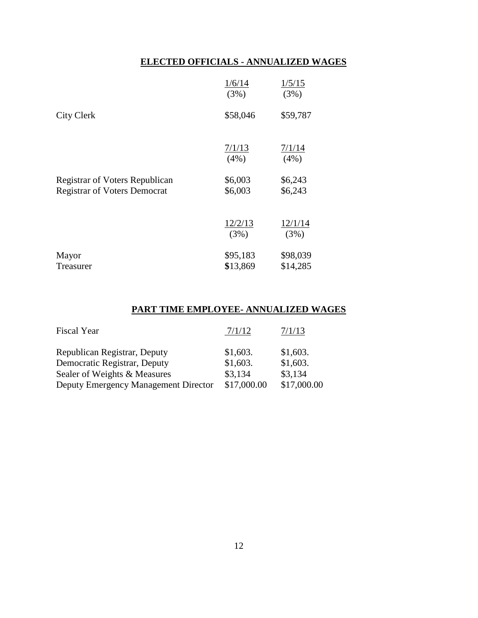# **ELECTED OFFICIALS - ANNUALIZED WAGES**

|                                                                              | 1/6/14<br>(3%)       | 1/5/15<br>(3%)       |
|------------------------------------------------------------------------------|----------------------|----------------------|
| <b>City Clerk</b>                                                            | \$58,046             | \$59,787             |
|                                                                              | 7/1/13<br>$(4\%)$    | 7/1/14<br>(4%)       |
| <b>Registrar of Voters Republican</b><br><b>Registrar of Voters Democrat</b> | \$6,003<br>\$6,003   | \$6,243<br>\$6,243   |
|                                                                              | 12/2/13<br>(3%)      | 12/1/14<br>(3%)      |
| Mayor<br>Treasurer                                                           | \$95,183<br>\$13,869 | \$98,039<br>\$14,285 |

#### **PART TIME EMPLOYEE- ANNUALIZED WAGES**

| <b>Fiscal Year</b>                   | 7/1/12      | 7/1/13      |
|--------------------------------------|-------------|-------------|
| Republican Registrar, Deputy         | \$1,603.    | \$1,603.    |
| Democratic Registrar, Deputy         | \$1,603.    | \$1,603.    |
| Sealer of Weights & Measures         | \$3,134     | \$3,134     |
| Deputy Emergency Management Director | \$17,000.00 | \$17,000.00 |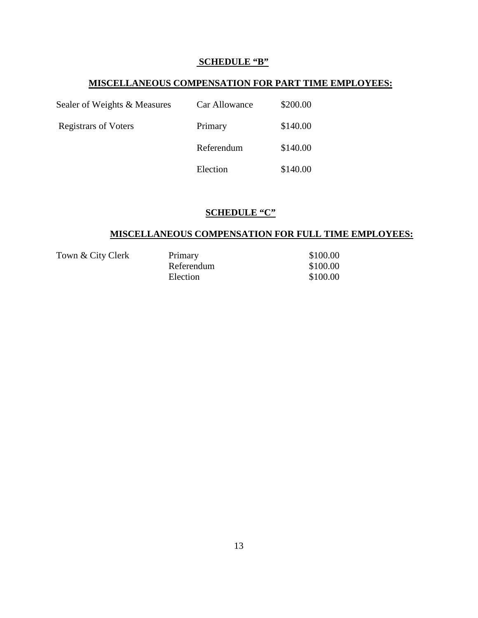### **SCHEDULE "B"**

### **MISCELLANEOUS COMPENSATION FOR PART TIME EMPLOYEES:**

| Sealer of Weights & Measures | Car Allowance | \$200.00 |
|------------------------------|---------------|----------|
| <b>Registrars of Voters</b>  | Primary       | \$140.00 |
|                              | Referendum    | \$140.00 |
|                              | Election      | \$140.00 |

# **SCHEDULE "C"**

# **MISCELLANEOUS COMPENSATION FOR FULL TIME EMPLOYEES:**

| Town & City Clerk | Primary    | \$100.00 |
|-------------------|------------|----------|
|                   | Referendum | \$100.00 |
|                   | Election   | \$100.00 |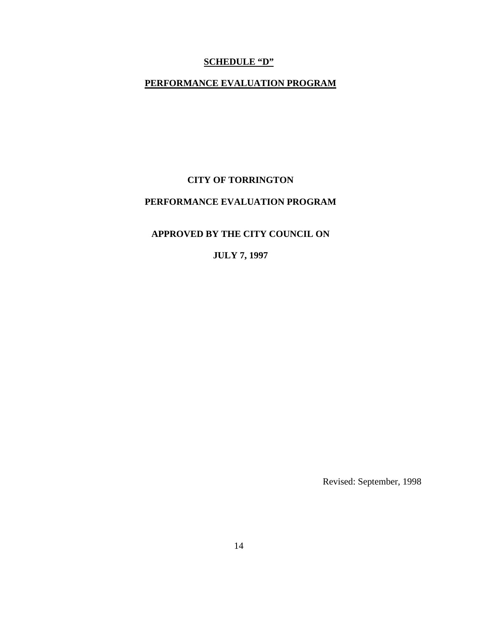### **SCHEDULE "D"**

# **PERFORMANCE EVALUATION PROGRAM**

#### **CITY OF TORRINGTON**

# **PERFORMANCE EVALUATION PROGRAM**

# **APPROVED BY THE CITY COUNCIL ON**

# **JULY 7, 1997**

Revised: September, 1998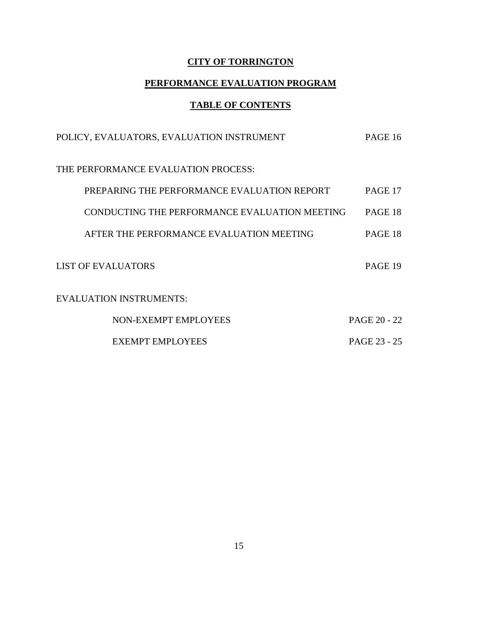# **CITY OF TORRINGTON**

# **PERFORMANCE EVALUATION PROGRAM**

# **TABLE OF CONTENTS**

| POLICY, EVALUATORS, EVALUATION INSTRUMENT     | PAGE 16      |
|-----------------------------------------------|--------------|
| THE PERFORMANCE EVALUATION PROCESS:           |              |
| PREPARING THE PERFORMANCE EVALUATION REPORT   | PAGE 17      |
| CONDUCTING THE PERFORMANCE EVALUATION MEETING | PAGE 18      |
| AFTER THE PERFORMANCE EVALUATION MEETING      | PAGE 18      |
| <b>LIST OF EVALUATORS</b>                     | PAGE 19      |
| <b>EVALUATION INSTRUMENTS:</b>                |              |
| NON-EXEMPT EMPLOYEES                          | PAGE 20 - 22 |
| <b>EXEMPT EMPLOYEES</b>                       | PAGE 23 - 25 |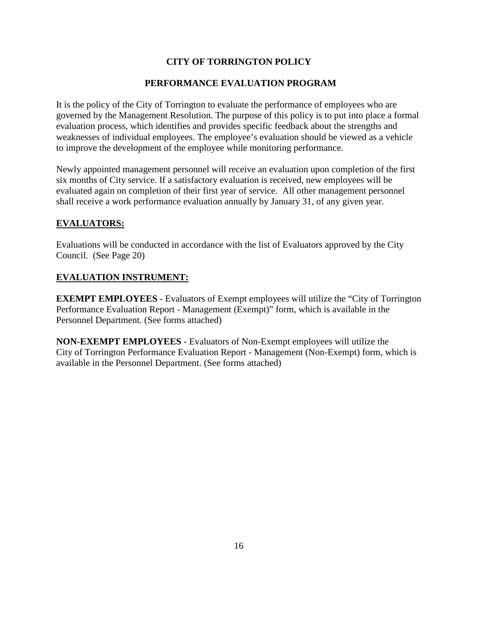#### **CITY OF TORRINGTON POLICY**

#### **PERFORMANCE EVALUATION PROGRAM**

It is the policy of the City of Torrington to evaluate the performance of employees who are governed by the Management Resolution. The purpose of this policy is to put into place a formal evaluation process, which identifies and provides specific feedback about the strengths and weaknesses of individual employees. The employee's evaluation should be viewed as a vehicle to improve the development of the employee while monitoring performance.

Newly appointed management personnel will receive an evaluation upon completion of the first six months of City service. If a satisfactory evaluation is received, new employees will be evaluated again on completion of their first year of service. All other management personnel shall receive a work performance evaluation annually by January 31, of any given year.

#### **EVALUATORS:**

Evaluations will be conducted in accordance with the list of Evaluators approved by the City Council. (See Page 20)

#### **EVALUATION INSTRUMENT:**

**EXEMPT EMPLOYEES** - Evaluators of Exempt employees will utilize the "City of Torrington" Performance Evaluation Report - Management (Exempt)" form, which is available in the Personnel Department. (See forms attached)

**NON-EXEMPT EMPLOYEES** - Evaluators of Non-Exempt employees will utilize the City of Torrington Performance Evaluation Report - Management (Non-Exempt) form, which is available in the Personnel Department. (See forms attached)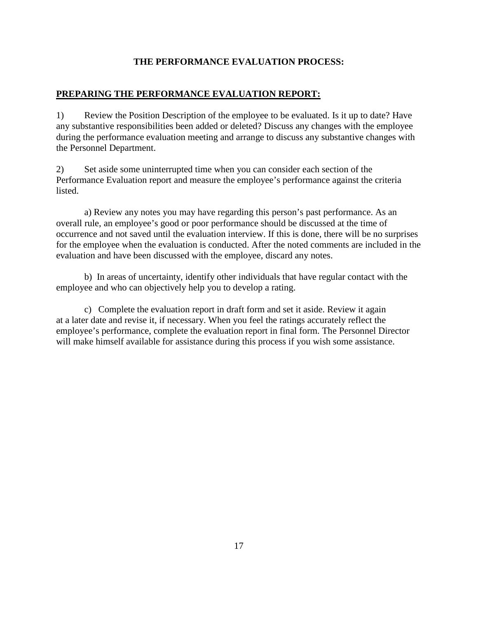#### **THE PERFORMANCE EVALUATION PROCESS:**

#### **PREPARING THE PERFORMANCE EVALUATION REPORT:**

1) Review the Position Description of the employee to be evaluated. Is it up to date? Have any substantive responsibilities been added or deleted? Discuss any changes with the employee during the performance evaluation meeting and arrange to discuss any substantive changes with the Personnel Department.

2) Set aside some uninterrupted time when you can consider each section of the Performance Evaluation report and measure the employee's performance against the criteria listed.

a) Review any notes you may have regarding this person's past performance. As an overall rule, an employee's good or poor performance should be discussed at the time of occurrence and not saved until the evaluation interview. If this is done, there will be no surprises for the employee when the evaluation is conducted. After the noted comments are included in the evaluation and have been discussed with the employee, discard any notes.

b) In areas of uncertainty, identify other individuals that have regular contact with the employee and who can objectively help you to develop a rating.

c) Complete the evaluation report in draft form and set it aside. Review it again at a later date and revise it, if necessary. When you feel the ratings accurately reflect the employee's performance, complete the evaluation report in final form. The Personnel Director will make himself available for assistance during this process if you wish some assistance.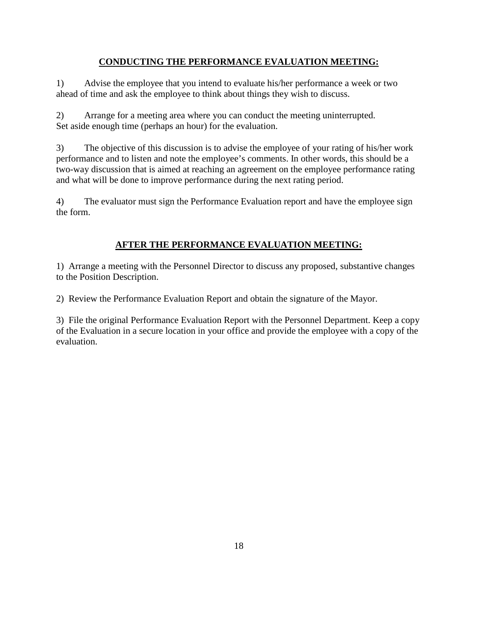#### **CONDUCTING THE PERFORMANCE EVALUATION MEETING:**

1) Advise the employee that you intend to evaluate his/her performance a week or two ahead of time and ask the employee to think about things they wish to discuss.

2) Arrange for a meeting area where you can conduct the meeting uninterrupted. Set aside enough time (perhaps an hour) for the evaluation.

3) The objective of this discussion is to advise the employee of your rating of his/her work performance and to listen and note the employee's comments. In other words, this should be a two-way discussion that is aimed at reaching an agreement on the employee performance rating and what will be done to improve performance during the next rating period.

4) The evaluator must sign the Performance Evaluation report and have the employee sign the form.

# **AFTER THE PERFORMANCE EVALUATION MEETING:**

1) Arrange a meeting with the Personnel Director to discuss any proposed, substantive changes to the Position Description.

2) Review the Performance Evaluation Report and obtain the signature of the Mayor.

3) File the original Performance Evaluation Report with the Personnel Department. Keep a copy of the Evaluation in a secure location in your office and provide the employee with a copy of the evaluation.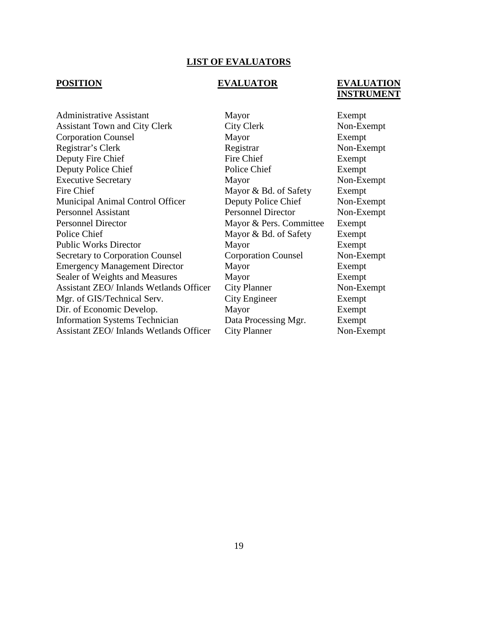#### **LIST OF EVALUATORS**

#### **POSITION EVALUATOR EVALUATION INSTRUMENT**

Administrative Assistant Mayor Exempt Assistant Town and City Clerk City Clerk City Clerk Non-Exempt Corporation Counsel Mayor Exempt Registrar's Clerk Registrar Registrar Non-Exempt Deputy Fire Chief Fire Chief Exempt Deputy Police Chief Police Chief Police Chief Exempt Executive Secretary Mayor Mayor Non-Exempt Fire Chief Mayor & Bd. of Safety Exempt Municipal Animal Control Officer Deputy Police Chief Non-Exempt Personnel Assistant Personnel Director Non-Exempt Personnel Director Mayor & Pers. Committee Exempt Police Chief Mayor & Bd. of Safety Exempt Public Works Director Mayor Exempt<br>Secretary to Corporation Counsel Corporation Counsel Non-Exe Secretary to Corporation Counsel Corporation Counsel Non-Exempt Emergency Management Director Mayor Exempt Sealer of Weights and Measures Mayor Exempt Assistant ZEO/ Inlands Wetlands Officer City Planner Non-Exempt Mgr. of GIS/Technical Serv. City Engineer Exempt Dir. of Economic Develop. Mayor Exempt Information Systems Technician Data Processing Mgr. Exempt Assistant ZEO/ Inlands Wetlands Officer City Planner Non-Exempt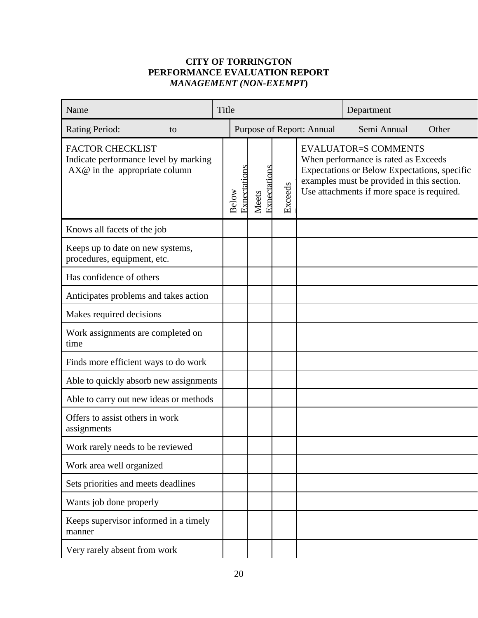# **CITY OF TORRINGTON PERFORMANCE EVALUATION REPORT** *MANAGEMENT (NON-EXEMPT***)**

| Name                                                                                                | Title        |                           |                       |         | Department                                                                                                                                                                                                      |       |
|-----------------------------------------------------------------------------------------------------|--------------|---------------------------|-----------------------|---------|-----------------------------------------------------------------------------------------------------------------------------------------------------------------------------------------------------------------|-------|
| <b>Rating Period:</b><br>to                                                                         |              | Purpose of Report: Annual |                       |         | Semi Annual                                                                                                                                                                                                     | Other |
| <b>FACTOR CHECKLIST</b><br>Indicate performance level by marking<br>$AX@$ in the appropriate column | <b>Below</b> | Expectations              | Expectations<br>Meets | Exceeds | <b>EVALUATOR=S COMMENTS</b><br>When performance is rated as Exceeds<br>Expectations or Below Expectations, specific<br>examples must be provided in this section.<br>Use attachments if more space is required. |       |
| Knows all facets of the job                                                                         |              |                           |                       |         |                                                                                                                                                                                                                 |       |
| Keeps up to date on new systems,<br>procedures, equipment, etc.                                     |              |                           |                       |         |                                                                                                                                                                                                                 |       |
| Has confidence of others                                                                            |              |                           |                       |         |                                                                                                                                                                                                                 |       |
| Anticipates problems and takes action                                                               |              |                           |                       |         |                                                                                                                                                                                                                 |       |
| Makes required decisions                                                                            |              |                           |                       |         |                                                                                                                                                                                                                 |       |
| Work assignments are completed on<br>time                                                           |              |                           |                       |         |                                                                                                                                                                                                                 |       |
| Finds more efficient ways to do work                                                                |              |                           |                       |         |                                                                                                                                                                                                                 |       |
| Able to quickly absorb new assignments                                                              |              |                           |                       |         |                                                                                                                                                                                                                 |       |
| Able to carry out new ideas or methods                                                              |              |                           |                       |         |                                                                                                                                                                                                                 |       |
| Offers to assist others in work<br>assignments                                                      |              |                           |                       |         |                                                                                                                                                                                                                 |       |
| Work rarely needs to be reviewed                                                                    |              |                           |                       |         |                                                                                                                                                                                                                 |       |
| Work area well organized                                                                            |              |                           |                       |         |                                                                                                                                                                                                                 |       |
| Sets priorities and meets deadlines                                                                 |              |                           |                       |         |                                                                                                                                                                                                                 |       |
| Wants job done properly                                                                             |              |                           |                       |         |                                                                                                                                                                                                                 |       |
| Keeps supervisor informed in a timely<br>manner                                                     |              |                           |                       |         |                                                                                                                                                                                                                 |       |
| Very rarely absent from work                                                                        |              |                           |                       |         |                                                                                                                                                                                                                 |       |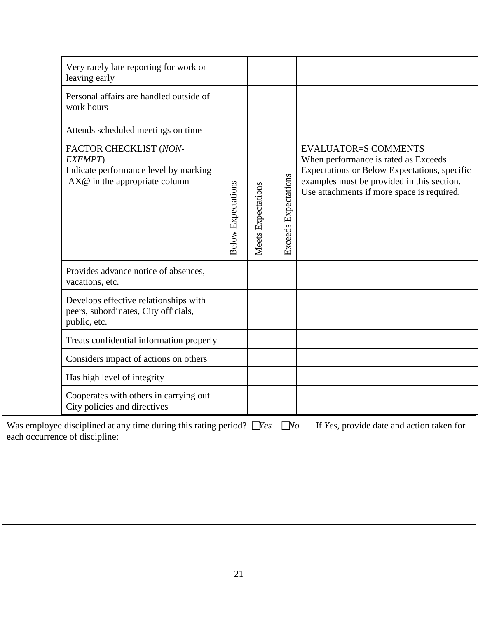| Very rarely late reporting for work or<br>leaving early                                                       |                           |                    |                             |                                                                                                                                                                                                                 |
|---------------------------------------------------------------------------------------------------------------|---------------------------|--------------------|-----------------------------|-----------------------------------------------------------------------------------------------------------------------------------------------------------------------------------------------------------------|
| Personal affairs are handled outside of<br>work hours                                                         |                           |                    |                             |                                                                                                                                                                                                                 |
| Attends scheduled meetings on time                                                                            |                           |                    |                             |                                                                                                                                                                                                                 |
| FACTOR CHECKLIST (NON-<br>EXEMPT)<br>Indicate performance level by marking<br>$AX@$ in the appropriate column | <b>Below Expectations</b> | Meets Expectations | <b>Exceeds Expectations</b> | <b>EVALUATOR=S COMMENTS</b><br>When performance is rated as Exceeds<br>Expectations or Below Expectations, specific<br>examples must be provided in this section.<br>Use attachments if more space is required. |
| Provides advance notice of absences,<br>vacations, etc.                                                       |                           |                    |                             |                                                                                                                                                                                                                 |
| Develops effective relationships with<br>peers, subordinates, City officials,<br>public, etc.                 |                           |                    |                             |                                                                                                                                                                                                                 |
| Treats confidential information properly                                                                      |                           |                    |                             |                                                                                                                                                                                                                 |
| Considers impact of actions on others                                                                         |                           |                    |                             |                                                                                                                                                                                                                 |
| Has high level of integrity                                                                                   |                           |                    |                             |                                                                                                                                                                                                                 |
| Cooperates with others in carrying out<br>City policies and directives                                        |                           |                    |                             |                                                                                                                                                                                                                 |
| Was employee disciplined at any time during this rating period? $\Box$ Yes                                    |                           |                    | $\square$ No                | If Yes, provide date and action taken for                                                                                                                                                                       |

each occurrence of discipline: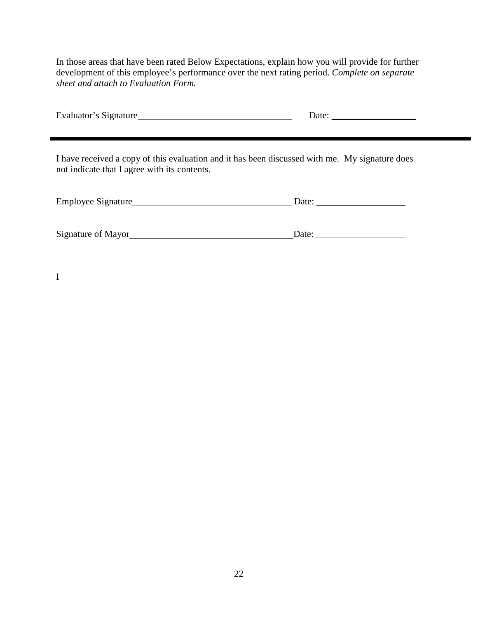In those areas that have been rated Below Expectations, explain how you will provide for further development of this employee's performance over the next rating period. *Complete on separate sheet and attach to Evaluation Form.*

| Evaluator's Signature | Date <sup>.</sup> |
|-----------------------|-------------------|
|-----------------------|-------------------|

I have received a copy of this evaluation and it has been discussed with me. My signature does not indicate that I agree with its contents.

| Employee Signature_ | Date: |
|---------------------|-------|
|                     |       |
|                     |       |

Signature of Mayor Date: \_\_\_\_\_\_\_\_\_\_\_\_\_\_\_\_\_\_\_

I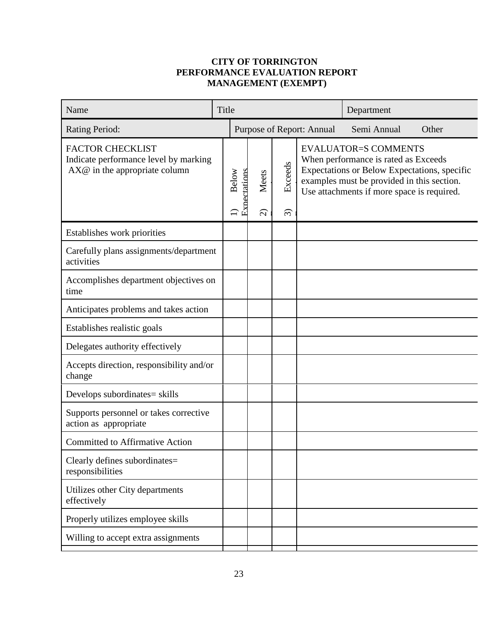# **CITY OF TORRINGTON PERFORMANCE EVALUATION REPORT MANAGEMENT (EXEMPT)**

|                                       |                                                                                                                             |                                    |                                     | Department                |                                                                                                                                                                                                                 |
|---------------------------------------|-----------------------------------------------------------------------------------------------------------------------------|------------------------------------|-------------------------------------|---------------------------|-----------------------------------------------------------------------------------------------------------------------------------------------------------------------------------------------------------------|
|                                       |                                                                                                                             |                                    |                                     | Semi Annual               | Other                                                                                                                                                                                                           |
|                                       |                                                                                                                             | Meets<br>$\widehat{\Omega}$        | Exceeds<br>$\widehat{\mathfrak{D}}$ |                           |                                                                                                                                                                                                                 |
|                                       |                                                                                                                             |                                    |                                     |                           |                                                                                                                                                                                                                 |
|                                       |                                                                                                                             |                                    |                                     |                           |                                                                                                                                                                                                                 |
|                                       |                                                                                                                             |                                    |                                     |                           |                                                                                                                                                                                                                 |
|                                       |                                                                                                                             |                                    |                                     |                           |                                                                                                                                                                                                                 |
|                                       |                                                                                                                             |                                    |                                     |                           |                                                                                                                                                                                                                 |
|                                       |                                                                                                                             |                                    |                                     |                           |                                                                                                                                                                                                                 |
|                                       |                                                                                                                             |                                    |                                     |                           |                                                                                                                                                                                                                 |
|                                       |                                                                                                                             |                                    |                                     |                           |                                                                                                                                                                                                                 |
|                                       |                                                                                                                             |                                    |                                     |                           |                                                                                                                                                                                                                 |
|                                       |                                                                                                                             |                                    |                                     |                           |                                                                                                                                                                                                                 |
|                                       |                                                                                                                             |                                    |                                     |                           |                                                                                                                                                                                                                 |
|                                       |                                                                                                                             |                                    |                                     |                           |                                                                                                                                                                                                                 |
|                                       |                                                                                                                             |                                    |                                     |                           |                                                                                                                                                                                                                 |
|                                       |                                                                                                                             |                                    |                                     |                           |                                                                                                                                                                                                                 |
| Indicate performance level by marking | Carefully plans assignments/department<br>Accomplishes department objectives on<br>Accepts direction, responsibility and/or | Title<br><b>Below</b><br>$\ominus$ | Expectations                        | Purpose of Report: Annual | <b>EVALUATOR=S COMMENTS</b><br>When performance is rated as Exceeds<br>Expectations or Below Expectations, specific<br>examples must be provided in this section.<br>Use attachments if more space is required. |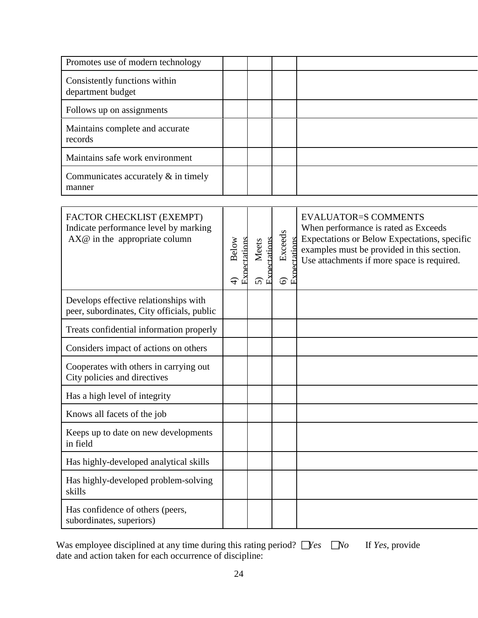| Promotes use of modern technology                                                                     |                                        |                                                         |                                                                       |                                                                                                                                                                                                                 |
|-------------------------------------------------------------------------------------------------------|----------------------------------------|---------------------------------------------------------|-----------------------------------------------------------------------|-----------------------------------------------------------------------------------------------------------------------------------------------------------------------------------------------------------------|
| Consistently functions within<br>department budget                                                    |                                        |                                                         |                                                                       |                                                                                                                                                                                                                 |
| Follows up on assignments                                                                             |                                        |                                                         |                                                                       |                                                                                                                                                                                                                 |
| Maintains complete and accurate<br>records                                                            |                                        |                                                         |                                                                       |                                                                                                                                                                                                                 |
| Maintains safe work environment                                                                       |                                        |                                                         |                                                                       |                                                                                                                                                                                                                 |
| Communicates accurately $\&$ in timely<br>manner                                                      |                                        |                                                         |                                                                       |                                                                                                                                                                                                                 |
|                                                                                                       |                                        |                                                         |                                                                       |                                                                                                                                                                                                                 |
| FACTOR CHECKLIST (EXEMPT)<br>Indicate performance level by marking<br>$AX@$ in the appropriate column | Expectations<br>Below<br>$\widehat{+}$ | Expectations<br><b>Meets</b><br>$\widehat{\mathcal{L}}$ | Exceeds<br>rtations<br>$\mathbb{E}^{\mathbf{x}}$<br>$\widehat{\circ}$ | <b>EVALUATOR=S COMMENTS</b><br>When performance is rated as Exceeds<br>Expectations or Below Expectations, specific<br>examples must be provided in this section.<br>Use attachments if more space is required. |
| Develops effective relationships with<br>peer, subordinates, City officials, public                   |                                        |                                                         |                                                                       |                                                                                                                                                                                                                 |
| Treats confidential information properly                                                              |                                        |                                                         |                                                                       |                                                                                                                                                                                                                 |
| Considers impact of actions on others                                                                 |                                        |                                                         |                                                                       |                                                                                                                                                                                                                 |
| Cooperates with others in carrying out<br>City policies and directives                                |                                        |                                                         |                                                                       |                                                                                                                                                                                                                 |
| Has a high level of integrity                                                                         |                                        |                                                         |                                                                       |                                                                                                                                                                                                                 |
| Knows all facets of the job                                                                           |                                        |                                                         |                                                                       |                                                                                                                                                                                                                 |
| Keeps up to date on new developments<br>in field                                                      |                                        |                                                         |                                                                       |                                                                                                                                                                                                                 |
| Has highly-developed analytical skills                                                                |                                        |                                                         |                                                                       |                                                                                                                                                                                                                 |
| Has highly-developed problem-solving<br>skills                                                        |                                        |                                                         |                                                                       |                                                                                                                                                                                                                 |
| Has confidence of others (peers,<br>subordinates, superiors)                                          |                                        |                                                         |                                                                       |                                                                                                                                                                                                                 |

| Was employee disciplined at any time during this rating period? $\Box$ Yes $\Box$ No If Yes, provide |  |
|------------------------------------------------------------------------------------------------------|--|
| date and action taken for each occurrence of discipline:                                             |  |